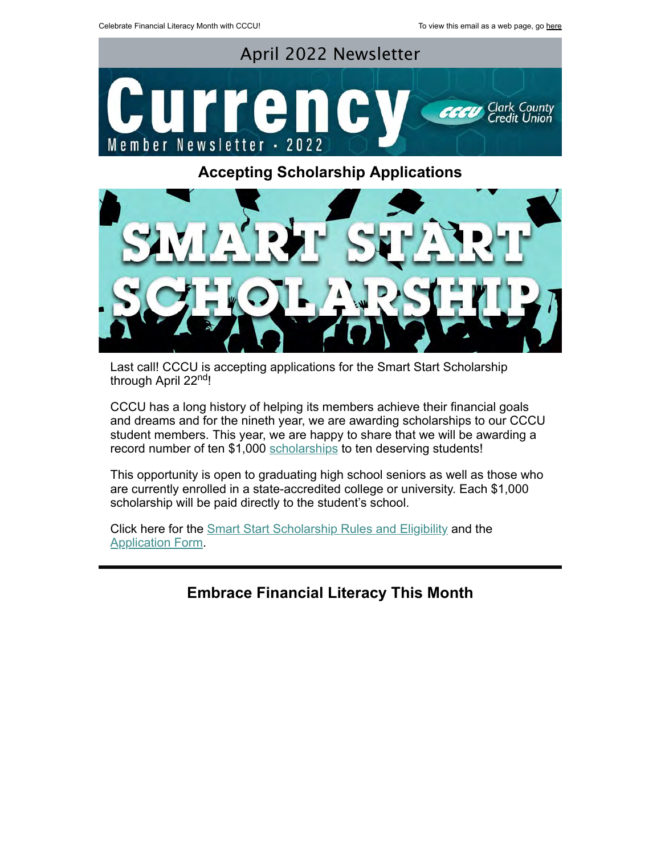

## **Accepting Scholarship Applications**



Last call! CCCU is accepting applications for the Smart Start Scholarship through April 22<sup>nd</sup>!

CCCU has a long history of helping its members achieve their financial goals and dreams and for the nineth year, we are awarding scholarships to our CCCU student members. This year, we are happy to share that we will be awarding a record number of ten \$1,000 [scholarships](https://www.ccculv.org/Member-Perks.aspx) to ten deserving students!

This opportunity is open to graduating high school seniors as well as those who are currently enrolled in a state-accredited college or university. Each \$1,000 scholarship will be paid directly to the student's school.

Click here for the **[Smart Start Scholarship Rules and Eligibility](https://campaign.documatix.com/DocumentRack/ManagementConsole/Document/lFjxEJtdWkO0DL6770G1rg?logType=0)** and the [Application Form](https://campaign.documatix.com/DocumentRack/ManagementConsole/Document/CWGVGoiL7EKbYmYZml4IaA?logType=0).

**Embrace Financial Literacy This Month**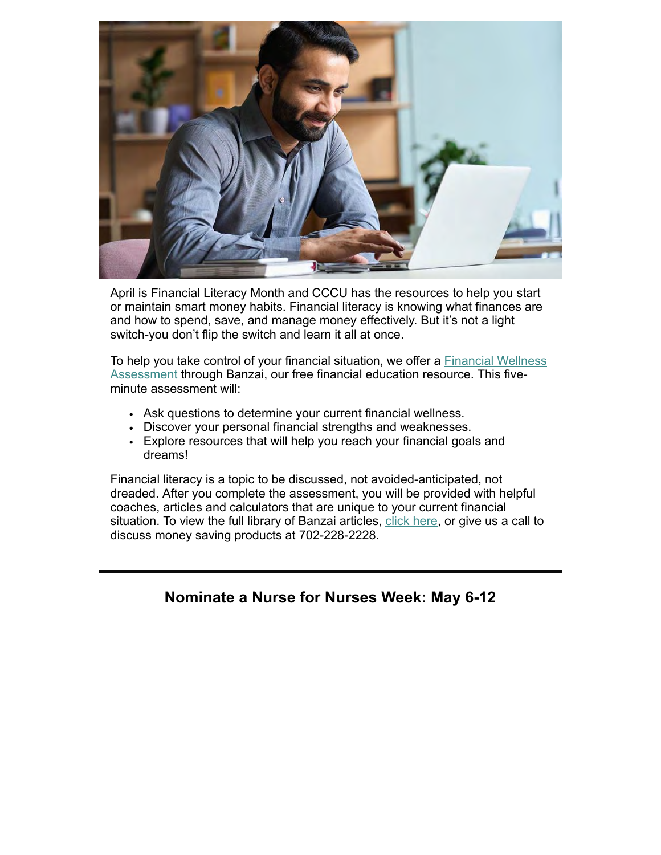

April is Financial Literacy Month and CCCU has the resources to help you start or maintain smart money habits. Financial literacy is knowing what finances are and how to spend, save, and manage money effectively. But it's not a light switch-you don't flip the switch and learn it all at once.

[To help you take control of your financial situation, we offer a Financial Wellness](https://teachbanzai.com/wellness/resources/what-is-financial-literacy#financial-wellness-assessment-anchor) Assessment through Banzai, our free financial education resource. This fiveminute assessment will:

- Ask questions to determine your current financial wellness.
- Discover your personal financial strengths and weaknesses.
- Explore resources that will help you reach your financial goals and dreams!

Financial literacy is a topic to be discussed, not avoided-anticipated, not dreaded. After you complete the assessment, you will be provided with helpful coaches, articles and calculators that are unique to your current financial situation. To view the full library of Banzai articles, [click here](https://teachbanzai.com/wellness), or give us a call to discuss money saving products at 702-228-2228.

### **Nominate a Nurse for Nurses Week: May 6-12**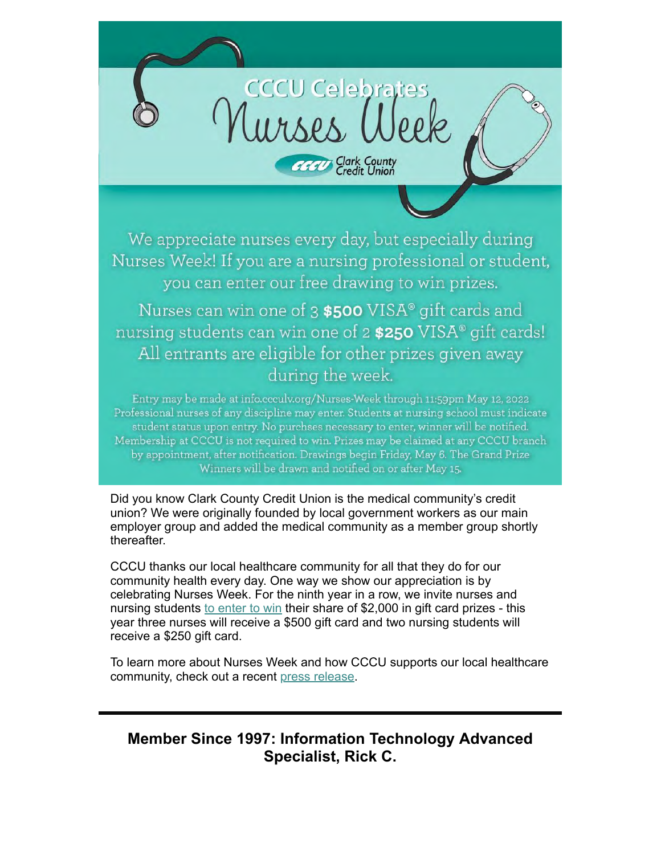

We appreciate nurses every day, but especially during Nurses Week! If you are a nursing professional or student, you can enter our free drawing to win prizes.

Nurses can win one of 3 \$500 VISA® gift cards and nursing students can win one of 2 \$250 VISA® gift cards! All entrants are eligible for other prizes given away during the week.

Entry may be made at info.ccculv.org/Nurses-Week through 11:59pm May 12, 2022 Professional nurses of any discipline may enter. Students at nursing school must indicate student status upon entry. No purchses necessary to enter, winner will be notified. Membership at CCCU is not required to win. Prizes may be claimed at any CCCU branch by appointment, after notification. Drawings begin Friday, May 6. The Grand Prize Winners will be drawn and notified on or after May 15.

Did you know Clark County Credit Union is the medical community's credit union? We were originally founded by local government workers as our main employer group and added the medical community as a member group shortly thereafter.

CCCU thanks our local healthcare community for all that they do for our community health every day. One way we show our appreciation is by celebrating Nurses Week. For the ninth year in a row, we invite nurses and nursing students [to enter to win](https://link.zixcentral.com/u/84f573c9/cvQalla37BG3ATj3hnsoMg?u=http%3A%2F%2Fmarketing.ccculv.com%2Fem%3Fa%3DgSuqxNjcbfzCNIm6GVKuKl%26b%3DpY0xoQT7VEy5kULY8xiHOA) their share of \$2,000 in gift card prizes - this year three nurses will receive a \$500 gift card and two nursing students will receive a \$250 gift card.

To learn more about Nurses Week and how CCCU supports our local healthcare community, check out a recent [press release](http://ccculv.org/ContentDocumentHandler.ashx?documentId=73829).

# **Member Since 1997: Information Technology Advanced Specialist, Rick C.**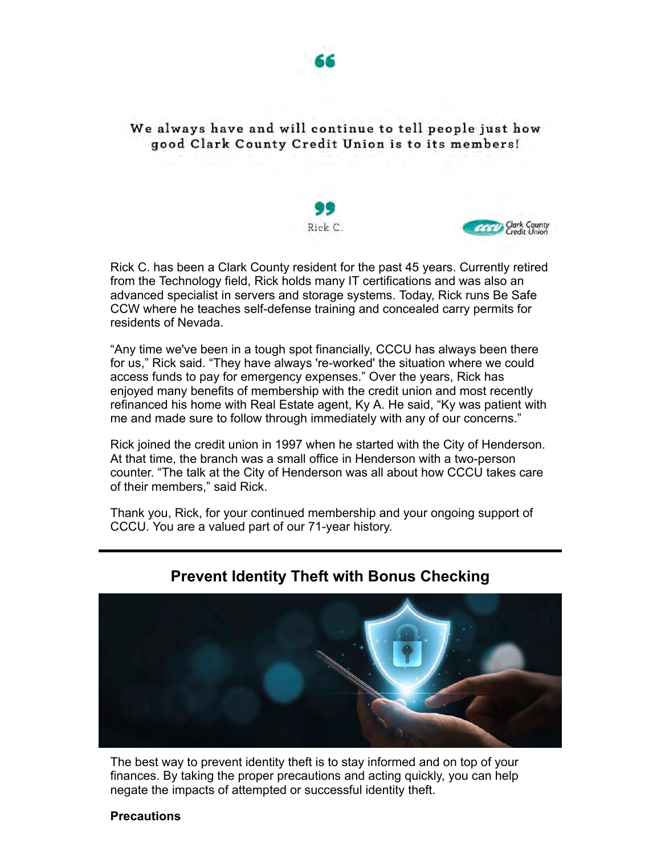

We always have and will continue to tell people just how good Clark County Credit Union is to its members!





Rick C. has been a Clark County resident for the past 45 years. Currently retired from the Technology field, Rick holds many IT certifications and was also an advanced specialist in servers and storage systems. Today, Rick runs Be Safe CCW where he teaches self-defense training and concealed carry permits for residents of Nevada.

"Any time we've been in a tough spot financially, CCCU has always been there for us," Rick said. "They have always 're-worked' the situation where we could access funds to pay for emergency expenses." Over the years, Rick has enjoyed many benefits of membership with the credit union and most recently refinanced his home with Real Estate agent, Ky A. He said, "Ky was patient with me and made sure to follow through immediately with any of our concerns."

Rick joined the credit union in 1997 when he started with the City of Henderson. At that time, the branch was a small office in Henderson with a two-person counter. "The talk at the City of Henderson was all about how CCCU takes care of their members," said Rick.

Thank you, Rick, for your continued membership and your ongoing support of CCCU. You are a valued part of our 71-year history.



### **Prevent Identity Theft with Bonus Checking**

The best way to prevent identity theft is to stay informed and on top of your finances. By taking the proper precautions and acting quickly, you can help negate the impacts of attempted or successful identity theft.

#### **Precautions**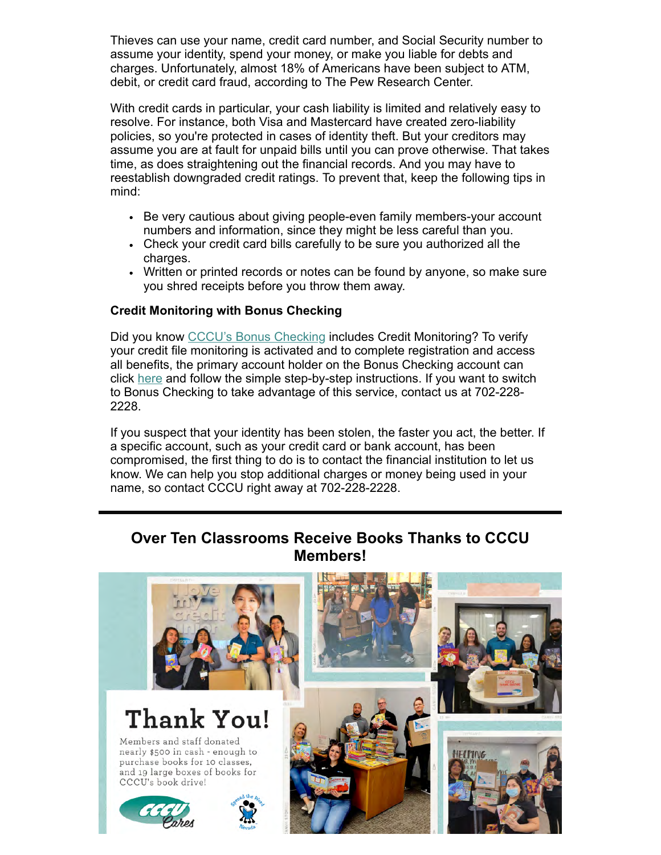Thieves can use your name, credit card number, and Social Security number to assume your identity, spend your money, or make you liable for debts and charges. Unfortunately, almost 18% of Americans have been subject to ATM, debit, or credit card fraud, according to The Pew Research Center.

With credit cards in particular, your cash liability is limited and relatively easy to resolve. For instance, both Visa and Mastercard have created zero-liability policies, so you're protected in cases of identity theft. But your creditors may assume you are at fault for unpaid bills until you can prove otherwise. That takes time, as does straightening out the financial records. And you may have to reestablish downgraded credit ratings. To prevent that, keep the following tips in mind:

- Be very cautious about giving people-even family members-your account numbers and information, since they might be less careful than you.
- Check your credit card bills carefully to be sure you authorized all the charges.
- Written or printed records or notes can be found by anyone, so make sure you shred receipts before you throw them away.

#### **Credit Monitoring with Bonus Checking**

Did you know [CCCU's Bonus Checking](https://www.ccculv.org/Checking-Accounts.aspx#BonusChecking) includes Credit Monitoring? To verify your credit file monitoring is activated and to complete registration and access all benefits, the primary account holder on the Bonus Checking account can click [here](http://cccubonus.clubchecking.com/) and follow the simple step-by-step instructions. If you want to switch to Bonus Checking to take advantage of this service, contact us at 702-228- 2228.

If you suspect that your identity has been stolen, the faster you act, the better. If a specific account, such as your credit card or bank account, has been compromised, the first thing to do is to contact the financial institution to let us know. We can help you stop additional charges or money being used in your name, so contact CCCU right away at 702-228-2228.

### **Over Ten Classrooms Receive Books Thanks to CCCU Members!**